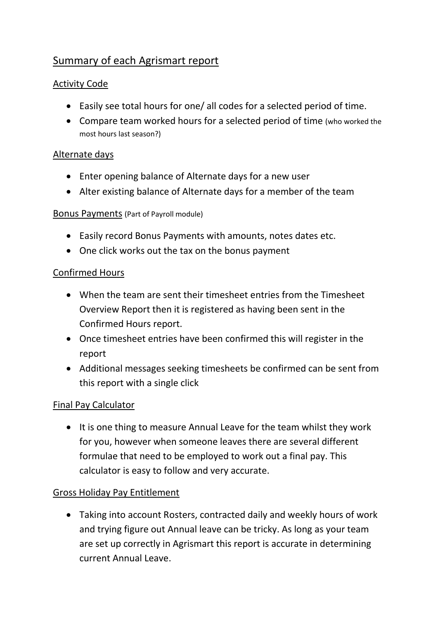# Summary of each Agrismart report

# Activity Code

- Easily see total hours for one/ all codes for a selected period of time.
- Compare team worked hours for a selected period of time (who worked the most hours last season?)

#### Alternate days

- Enter opening balance of Alternate days for a new user
- Alter existing balance of Alternate days for a member of the team

#### Bonus Payments (Part of Payroll module)

- Easily record Bonus Payments with amounts, notes dates etc.
- One click works out the tax on the bonus payment

#### Confirmed Hours

- When the team are sent their timesheet entries from the Timesheet Overview Report then it is registered as having been sent in the Confirmed Hours report.
- Once timesheet entries have been confirmed this will register in the report
- Additional messages seeking timesheets be confirmed can be sent from this report with a single click

# Final Pay Calculator

• It is one thing to measure Annual Leave for the team whilst they work for you, however when someone leaves there are several different formulae that need to be employed to work out a final pay. This calculator is easy to follow and very accurate.

# Gross Holiday Pay Entitlement

 Taking into account Rosters, contracted daily and weekly hours of work and trying figure out Annual leave can be tricky. As long as your team are set up correctly in Agrismart this report is accurate in determining current Annual Leave.